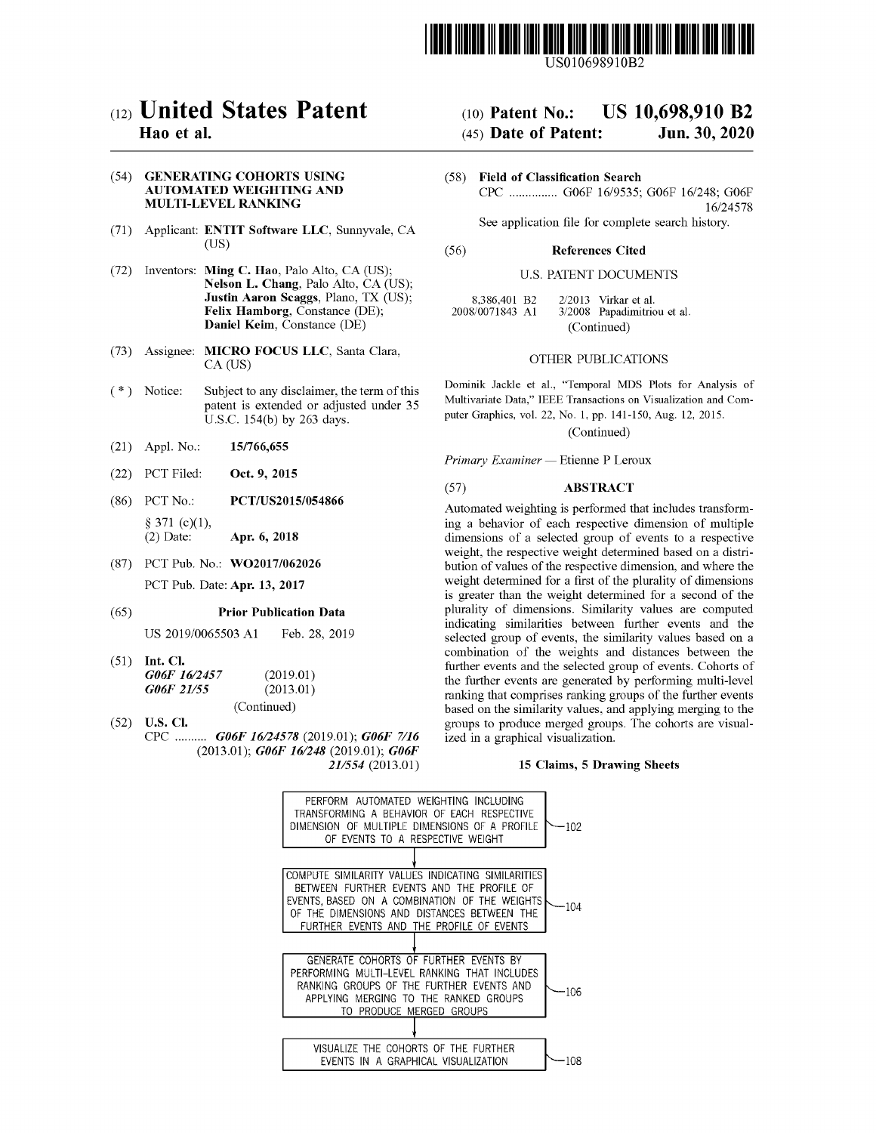

US010698910B2

### ( 54 ) GENERATING COHORTS USING AUTOMATED WEIGHTING AND **MULTI-LEVEL RANKING**

- (71) Applicant: **ENTIT Software LLC**, Sunnyvale, CA  $(US)$
- (72) Inventors: **Ming C. Hao**, Palo Alto, CA (US); U.S. PATENT DOCUMENTS<br> **Nelson L. Chang**, Palo Alto, CA (US); U.S. PATENT DOCUMENTS<br> **Justin Aaron Seaggs**, Plano, TX (US); 8.386.401 B2 2/2013 Virkar et al. Felix Hamborg, Constance (DE); Daniel Keim, Constance (DE)
- (73) Assignee: **MICRO FOCUS LLC**, Santa Clara, **CA (US)** OTHER PUBLICATIONS
- $(*)$  Notice: Subject to any disclaimer, the term of this patent is extended or adjusted under 35 U.S.C. 154(b) by 263 days.
- 
- (22) PCT Filed: Oct. 9, 2015
- (86) PCT No.: PCT/US2015/054866  $\frac{8}{2}$  371 (c)(1),<br>(2) Date: **Apr. 6, 2018**
- (87) PCT Pub. No.: WO2017/062026 PCT Pub. Date: Apr. 13, 2017

### (65) Prior Publication Data

US 2019/0065503 A1 Feb. 28, 2019

- (51) Int. Cl.<br> $G06F$  16/2457 G06F 21/55  $(2019.01)$  $(2013.01)$ 
	- (Continued)
- (52) U.S. Cl.<br>CPC .......... **G06F 16/24578** (2019.01); **G06F** 7/16 (2013.01); G06F 16/248 (2019.01); G06F<br>21/554 (2013.01)

# **United States Patent** (10) Patent No.: US 10,698,910 B2<br>
Hao et al. (45) Date of Patent: Jun. 30, 2020

## $(45)$  Date of Patent: Jun. 30, 2020

( 58 ) Field of Classification Search CPC ............... G06F 16/9535; G06F 16/248; G06F

16/24578<br>See application file for complete search history.

### (56) References Cited

| 8,386,401 B <sub>2</sub> |  | 2/2013 Virkar et al.        |
|--------------------------|--|-----------------------------|
| 2008/0071843 A1          |  | 3/2008 Papadimitriou et al. |
|                          |  | (Continued)                 |

Dominik Jackle et al., "Temporal MDS Plots for Analysis of Multivariate Data," IEEE Transactions on Visualization and Computer Graphics, vol. 22, No. 1, pp. 141-150, Aug. 12, 2015. U.S.C. 154(b) by 263 days. puter Graphics, vol. 22, No. 1, pp. 141-150, Aug. 12, 2015.<br>(21) Appl. No.: 15/766,655 Primary Examiner — Etienne P Leroux

### ( 57 ) ABSTRACT

Automated weighting is performed that includes transforming a behavior of each respective dimension of multiple dimensions of a selected group of events to a respective weight, the respective weight determined based on a distribution of values of the respective dimension, and where the weight determined for a first of the plurality of dimensions is greater than the weight determined for a second of the plurality of dimensions. Similarity values are computed indicating similarities between further events and the selected group of events, the similarity values based on a combination of the weights and distances between the further events and the selected group of events. Cohorts of the further events are generated by performing multi-level ranking that comprises ranking groups of the further events based on the similarity values, and applying merging to the groups to produce merged groups . The cohorts are visual ized in a graphical visualization.

### 15 Claims, 5 Drawing Sheets

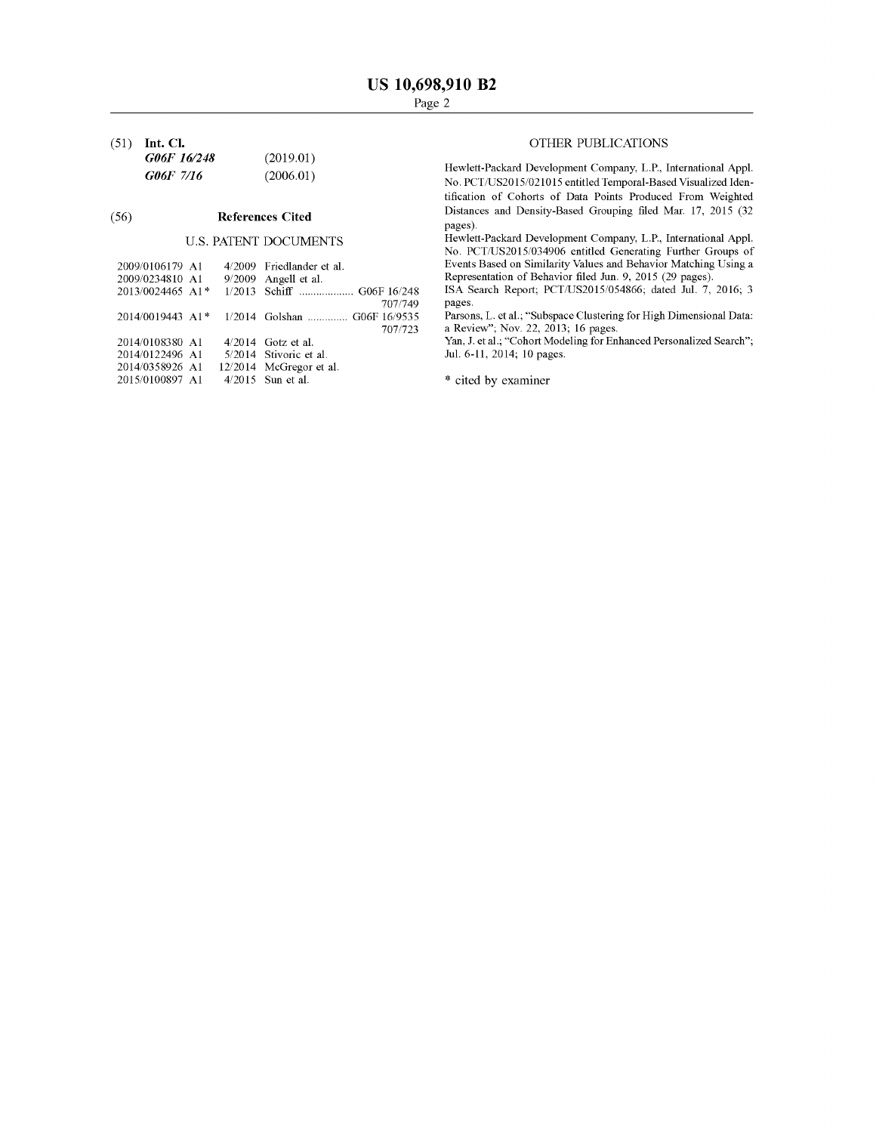(51) Int. Cl. 6. OTHER PUBLICATIONS G06F 16/248 G06F 7/16  $(2019.01)$  $(2006.01)$ 

### (56) References Cited

### U.S. PATENT DOCUMENTS

| 2009/0106179 A1                 |  | 4/2009 Friedlander et al.                     |  |
|---------------------------------|--|-----------------------------------------------|--|
| 2009/0234810 A1                 |  | $9/2009$ Angell et al.                        |  |
| $2013/0024465$ A <sub>1</sub> * |  | 1/2013 Schiff  G06F 16/248                    |  |
|                                 |  | 707/749                                       |  |
|                                 |  | 2014/0019443 A1* 1/2014 Golshan  G06F 16/9535 |  |
|                                 |  | 707/723                                       |  |
| 2014/0108380 A1                 |  | $4/2014$ Gotz et al.                          |  |
| 2014/0122496 A1                 |  | 5/2014 Stivoric et al.                        |  |
| 2014/0358926 A1                 |  | 12/2014 McGregor et al.                       |  |
| 2015/0100897 A1                 |  | $4/2015$ Sun et al.                           |  |
|                                 |  |                                               |  |

Hewlett-Packard Development Company, L.P., International Appl.<br>No. PCT/US2015/021015 entitled Temporal-Based Visualized Identification of Cohorts of Data Points Produced From Weighted Distances and Density-Based Grouping filed Mar. 17, 2015 (32

pages).<br> Hewlett-Packard Development Company, L.P., International Appl.<br> No. PCT/US2015/034906 entitled Generating Further Groups of<br> Events Based on Similarity Values and Behavior Matching Using a Representation of Behavior filed Jun. 9, 2015 (29 pages). ISA Search Report; PCT/US2015/054866; dated Jul. 7, 2016; 3

pages .

Parsons, L. et al.; "Subspace Clustering for High Dimensional Data: a Review"; Nov. 22, 2013; 16 pages.

Yan, J. et al.; "Cohort Modeling for Enhanced Personalized Search"; Jul. 6-11, 2014; 10 pages.

\* cited by examiner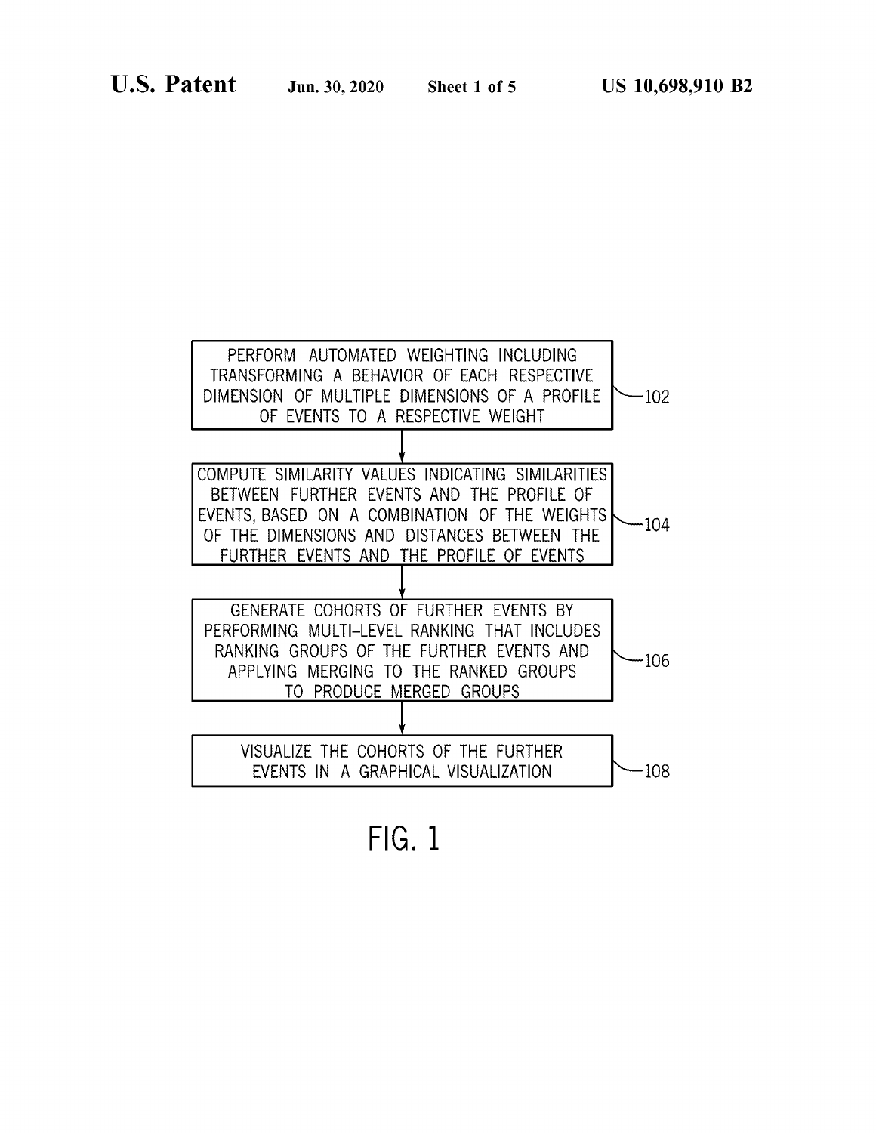

 $FIG. 1$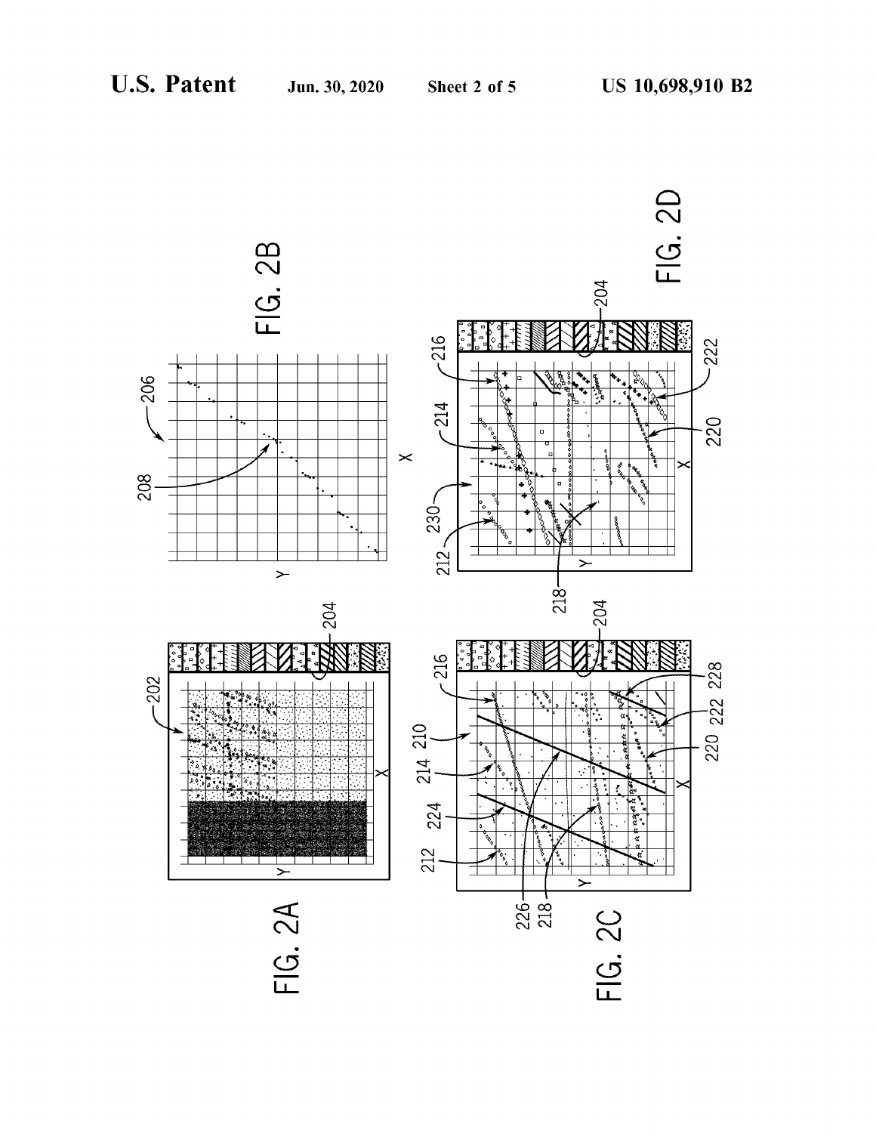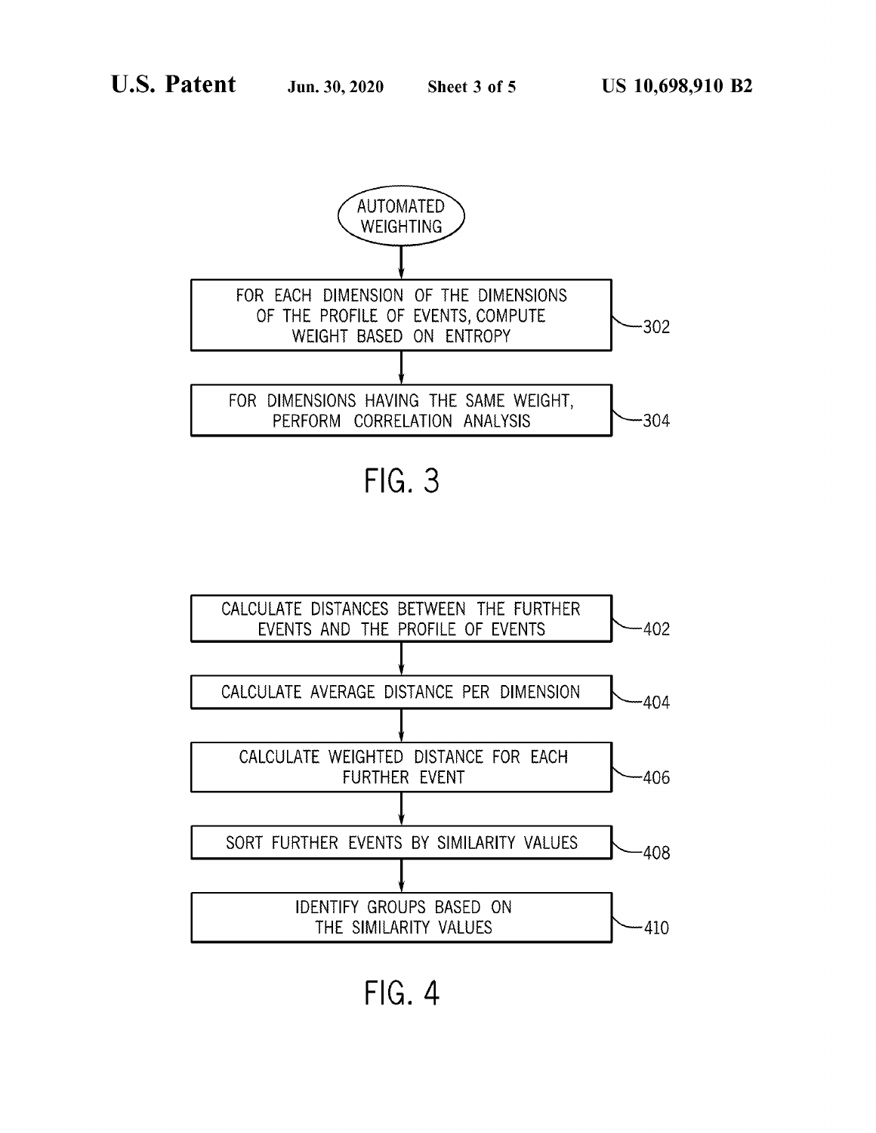

 $FIG. 3$ 



 $FIG. 4$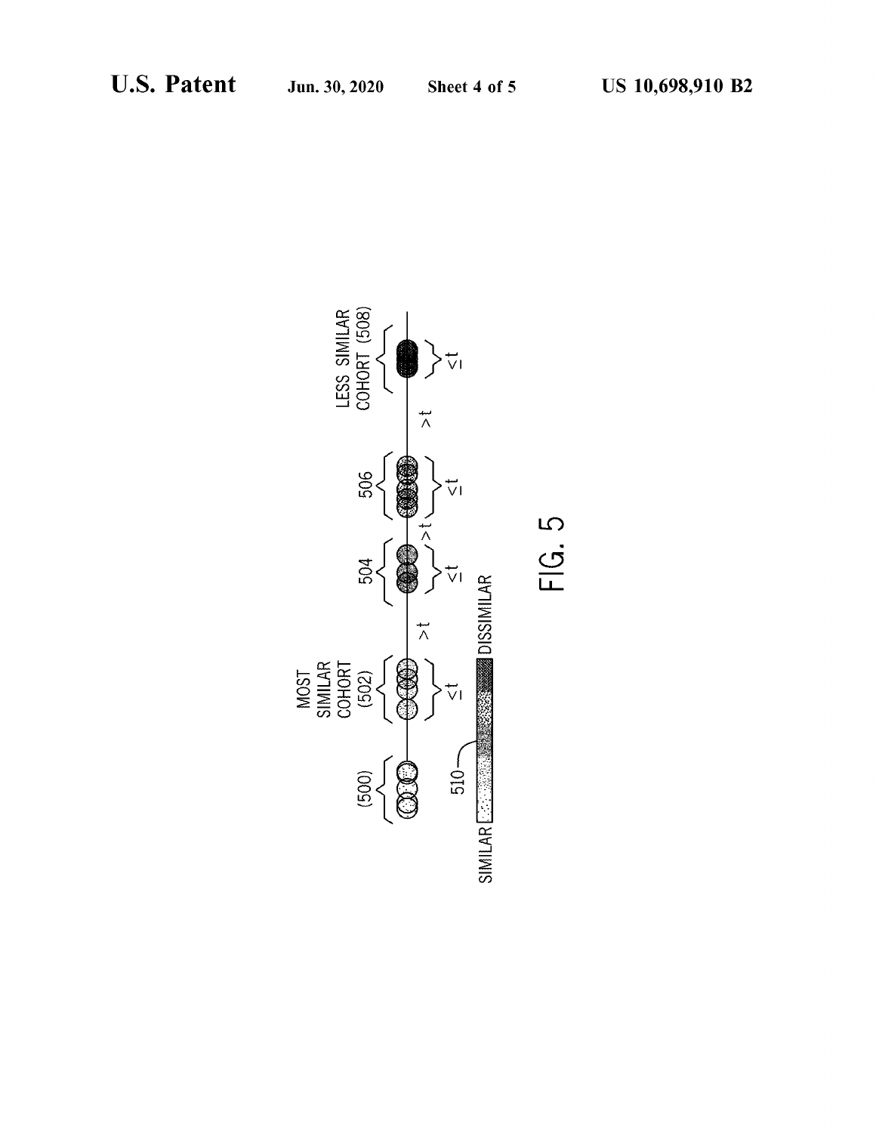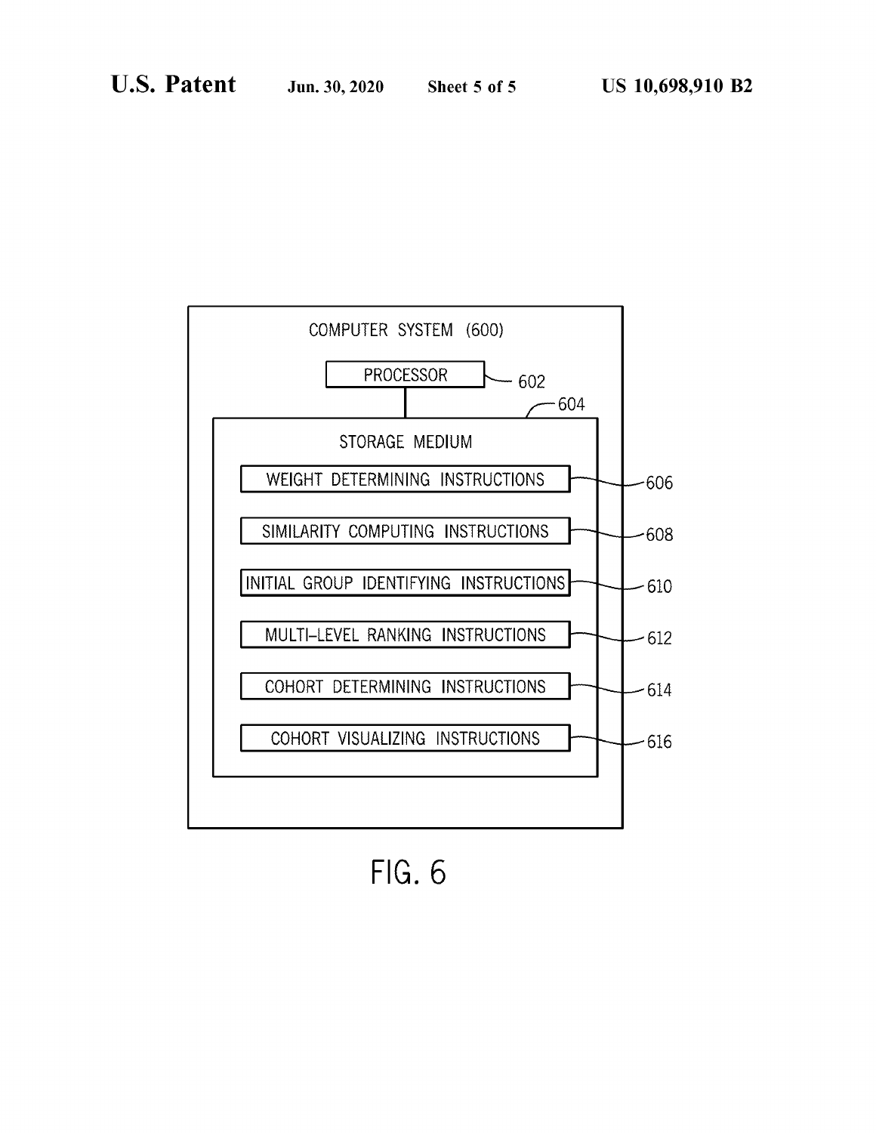

FIG . 6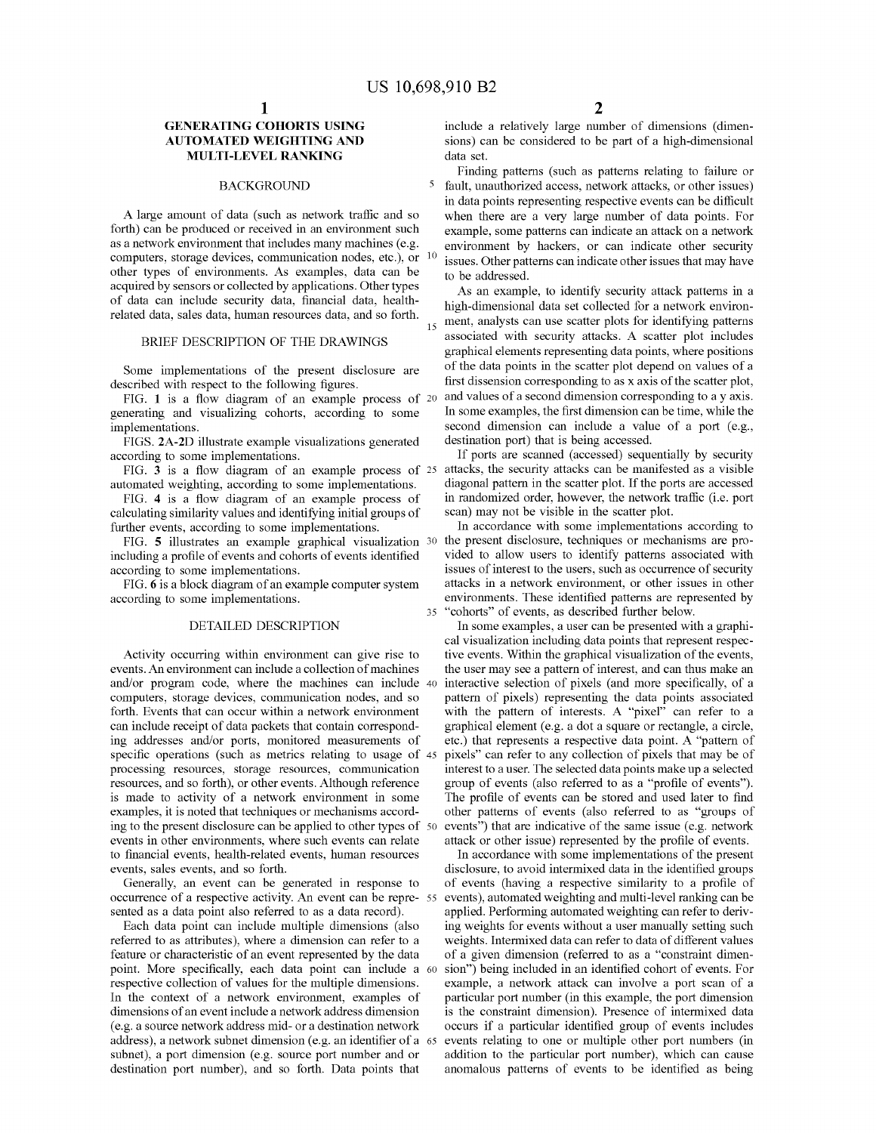15

computers, storage devices, communication nodes, etc.), or  $10$ forth) can be produced or received in an environment such example, some patterns can indicate an attack on a network as a network environment that includes many machines (e.g. environment by hackers, or can indicate other as a network environment that includes many machines (e.g. environment by hackers, or can indicate other security<br>computers, storage devices, communication nodes, etc.), or <sup>10</sup> issues. Other patterns can indicate other is

calculating similarity values and identifying initial groups of scan) may not be visible in the scatter plot.<br>
further events, according to some implementations. In accordance with some implementations according to<br>
FIG. 5

and/or program code, where the machines can include 40 interactive selection of pixels (and more specifically, of a computers, storage devices, communication nodes, and so pattern of pixels) representing the data points as computers, storage devices, communication nodes, and so pattern of pixels) representing the data points associated forth. Events that can occur within a network environment with the pattern of interests. A "pixel" can refe forth. Events that can occur within a network environment with the pattern of interests. A "pixel" can refer to a can include receipt of data packets that contain correspond-<br>graphical element (e.g. a dot a square or recta ing addresses and/or ports, monitored measurements of etc.) that represents a respective data point. A "pattern of specific operations (such as metrics relating to usage of 45 pixels" can refer to any collection of pixels processing resources, storage resources, communication interest to a user. The selected data points make up a selected resources, and so forth), or other events. Although reference group of events (also referred to as a "p is made to activity of a network environment in some The profile of events can be stored and used later to find<br>examples, it is noted that techniques or mechanisms accord-<br>other patterns of events (also referred to as "gro ing to the present disclosure can be applied to other types of 50 events") that are indicative of the same issue (e.g. network events in other environments, where such events can relate attack or other issue) represented b to financial events, health-related events, human resources and accordance with some implementations of the present events, sales events, and so forth.

occurrence of a respective activity. An event can be repre- 55 sented as a data point also referred to as a data record).

Each data point can include multiple dimensions (also ing weights for events without a user manually setting such referred to as attributes), where a dimension can refer to a weights. Intermixed data can refer to data of d referred to as attributes), where a dimension can refer to a weights. Intermixed data can refer to data of different values feature or characteristic of an event represented by the data of a given dimension (referred to as feature or characteristic of an event represented by the data of a given dimension (referred to as a "constraint dimen-<br>point. More specifically, each data point can include a 60 sion") being included in an identified coho respective collection of values for the multiple dimensions. example, a network attack can involve a port scan of a<br>In the context of a network environment, examples of particular port number (in this example, the port dim In the context of a network environment, examples of particular port number (in this example, the port dimension dimensions of an event include a network address dimension is the constraint dimension). Presence of intermix dimensions of an event include a network address dimension is the constraint dimension). Presence of intermixed data (e.g. a source network address mid- or a destination network occurs if a particular identified group of e address), a network subnet dimension (e.g. an identifier of a  $65$  subnet), a port dimension (e.g. source port number and or

GENERATING COHORTS USING<br>
AUTOMATED WEIGHTING AND sions) can be considered to be part of a high-dimensional **TOMATED WEIGHTING AND** sions) can be considered to be part of a high-dimensional **MULTI-LEVEL RANKING** data set.

Finding patterns (such as patterns relating to failure or<br>BACKGROUND 5 fault, unauthorized access, network attacks, or other issues) in data points representing respective events can be difficult<br>A large amount of data (such as network traffic and so when there are a very large number of data points. For A large amount of data (such as network traffic and so when there are a very large number of data points. For forth) can be produced or received in an environment such example, some patterns can indicate an attack on a net

BRIEF DESCRIPTION OF THE DRAWINGS associated with security attacks. A scatter plot includes graphical elements representing data points, where positions of the data points in the scatter plot depend on values of a Some implementations of the present disclosure are of the data points in the scatter plot depend on values of a<br>described with respect to the following figures. first dissension corresponding to as x axis of the scatter pl FIG. 1 is a flow diagram of an example process of 20 and values of a second dimension corresponding to a y axis.<br>generating and visualizing cohorts, according to some In some examples, the first dimension can be time, whil

FIGS. 2A-2D illustrate example visualizations generated destination port) that is being accessed.<br>according to some implementations. If ports are scanned (accessed) sequentially by security<br>FIG. 3 is a flow diagram of an e automated weighting, according to some implementations. diagonal pattern in the scatter plot. If the ports are accessed FIG. 4 is a flow diagram of an example process of in randomized order, however, the network traffic (i

including a profile of events and cohorts of events identified vided to allow users to identify patterns associated with according to some implementations.

according to some implementations.<br>
FIG. 6 is a block diagram of an example computer system<br>
according to some implementations.<br>
DETAILED DESCRIPTION<br>
DETAILED DESCRIPTION<br>
Activity occurring within environment can give ri other patterns of events (also referred to as " groups of events") that are indicative of the same issue (e.g. network

Generally, an event can be generated in response to of events (having a respective similarity to a profile of currence of a respective activity. An event can be repre- 55 events), automated weighting and multi-level rankin nted as a data point also referred to as a data record). applied. Performing automated weighting can refer to deriv-<br>Each data point can include multiple dimensions (also ing weights for events without a user manually sett occurs if a particular identified group of events includes events relating to one or multiple other port numbers (in subnet), a port dimension (e.g. source port number and or addition to the particular port number), which can cause destination port number), and so forth. Data points that anomalous patterns of events to be identified as b anomalous patterns of events to be identified as being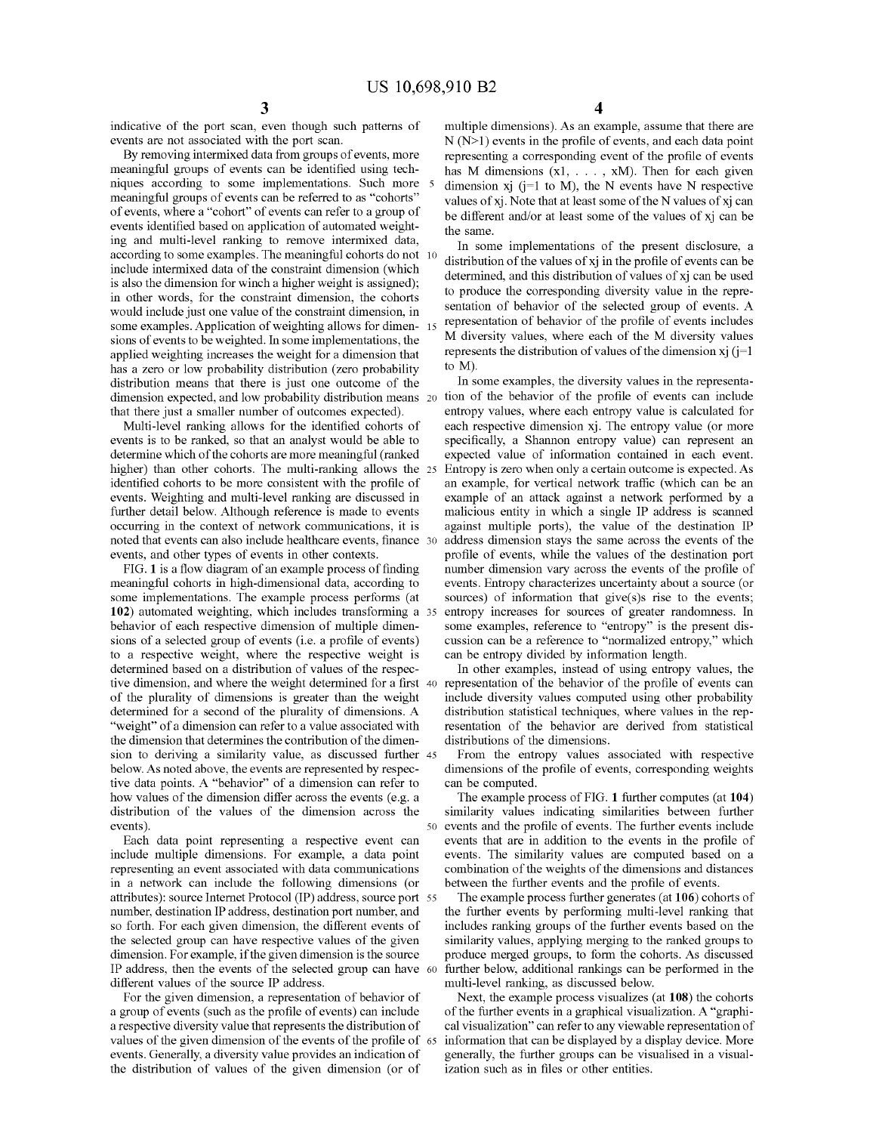indicative of the port scan, even though such patterns of events are not associated with the port scan.

By removing intermixed data from groups of events, more meaningful groups of events can be identified using techniques according to some implementations. Such more 5 meaningful groups of events can be referred to as "cohorts" of events, where a "cohort" of events can refer to a group of events identified based on application of automated weighting and multi-level ranking to remove intermixed data, according to some examples. The meaningful cohorts do not 10 include intermixed data of the constraint dimension (which is also the dimension for winch a higher weight is assigned); in other words, for the constraint dimension, the cohorts would include just one value of the constraint dimension, in some examples. Application of weighting allows for dimen-15 sions of events to be weighted. In some implementations, the applied weighting increases the weight for a dimension that has a zero or low probability distribution (zero probability distribution means that there is just one outcome of the dimension expected, and low probability distribution means  $20$  tion of the behavior of the profile of events can include that there just a smaller number of outcomes expected).

Multi-level ranking allows for the identified cohorts of events is to be ranked, so that an analyst would be able to determine which of the cohorts are more meaningful (ranked higher) than other cohorts. The multi-ranking allows the 25 identified cohorts to be more consistent with the profile of events. Weighting and multi-level ranking are discussed in further detail below. Although reference is made to events occurring in the context of network communications, it is noted that events can also include healthcare events, finance 30 events, and other types of events in other contexts.

FIG. 1 is a flow diagram of an example process of finding meaningful cohorts in high-dimensional data, according to some implementations. The example process performs (at 102) automated weighting, which includes transforming a 35 behavior of each respective dimension of multiple dimensions of a selected group of events (i.e. a profile of events) to a respective weight, where the respective weight is determined based on a distribution of values of the respective dimension, and where the weight determined for a first 40 representation of the behavior of the profile of events can of the plurality of dimensions is greater than the weight determined for a second of the plurality of dimensions. A "weight" of a dimension can refer to a value associated with the dimension that determines the contribution of the dimension to deriving a similarity value, as discussed further 45 below. As noted above, the events are represented by respective data points. A "behavior" of a dimension can refer to how values of the dimension differ across the events (e.g. a distribution of the values of the dimension across the events). 50

Each data point representing a respective event can include multiple dimensions. For example, a data point representing an event associated with data communications in a network can include the following dimensions (or attributes): source Internet Protocol (IP) address, source port 55 number, destination IP address, destination port number, and so forth. For each given dimension, the different events of the selected group can have respective values of the given dimension. For example, if the given dimension is the source IP address, then the events of the selected group can have 60 different values of the source IP address.

For the given dimension, a representation of behavior of a group of events (such as the profile of events) can include a respective diversity value that represents the distribution of values of the given dimension of the events of the profile of 65 events. Generally, a diversity value provides an indication of the distribution of values of the given dimension (or of

multiple dimensions). As an example, assume that there are  $N(N>1)$  events in the profile of events, and each data point representing a corresponding event of the profile of events has M dimensions  $(x1, \ldots, xM)$ . Then for each given dimension xj (j=1 to M), the N events have N respective values of xi. Note that at least some of the N values of xi can be different and/or at least some of the values of xi can be the same.

In some implementations of the present disclosure, a distribution of the values of  $xi$  in the profile of events can be determined, and this distribution of values of xj can be used to produce the corresponding diversity value in the representation of behavior of the selected group of events. A representation of behavior of the profile of events includes M diversity values, where each of the M diversity values represents the distribution of values of the dimension  $xi$  ( $j=1$ to  $M$ ).

In some examples, the diversity values in the representaentropy values, where each entropy value is calculated for each respective dimension xj. The entropy value (or more specifically, a Shannon entropy value) can represent an expected value of information contained in each event. Entropy is zero when only a certain outcome is expected. As an example, for vertical network traffic (which can be an example of an attack against a network performed by a malicious entity in which a single IP address is scanned against multiple ports), the value of the destination IP address dimension stays the same across the events of the profile of events, while the values of the destination port number dimension vary across the events of the profile of events. Entropy characterizes uncertainty about a source (or sources) of information that give(s)s rise to the events; entropy increases for sources of greater randomness. In some examples, reference to "entropy" is the present discussion can be a reference to "normalized entropy," which can be entropy divided by information length.

In other examples, instead of using entropy values, the include diversity values computed using other probability distribution statistical techniques, where values in the representation of the behavior are derived from statistical distributions of the dimensions.

From the entropy values associated with respective dimensions of the profile of events, corresponding weights can be computed.

The example process of FIG. 1 further computes (at 104) similarity values indicating similarities between further events and the profile of events. The further events include events that are in addition to the events in the profile of events. The similarity values are computed based on a combination of the weights of the dimensions and distances between the further events and the profile of events.

The example process further generates (at 106) cohorts of the further events by performing multi-level ranking that includes ranking groups of the further events based on the similarity values, applying merging to the ranked groups to produce merged groups, to form the cohorts. As discussed further below, additional rankings can be performed in the multi-level ranking, as discussed below.

Next, the example process visualizes (at 108) the cohorts of the further events in a graphical visualization. A "graphical visualization" can refer to any viewable representation of information that can be displayed by a display device. More generally, the further groups can be visualised in a visualization such as in files or other entities.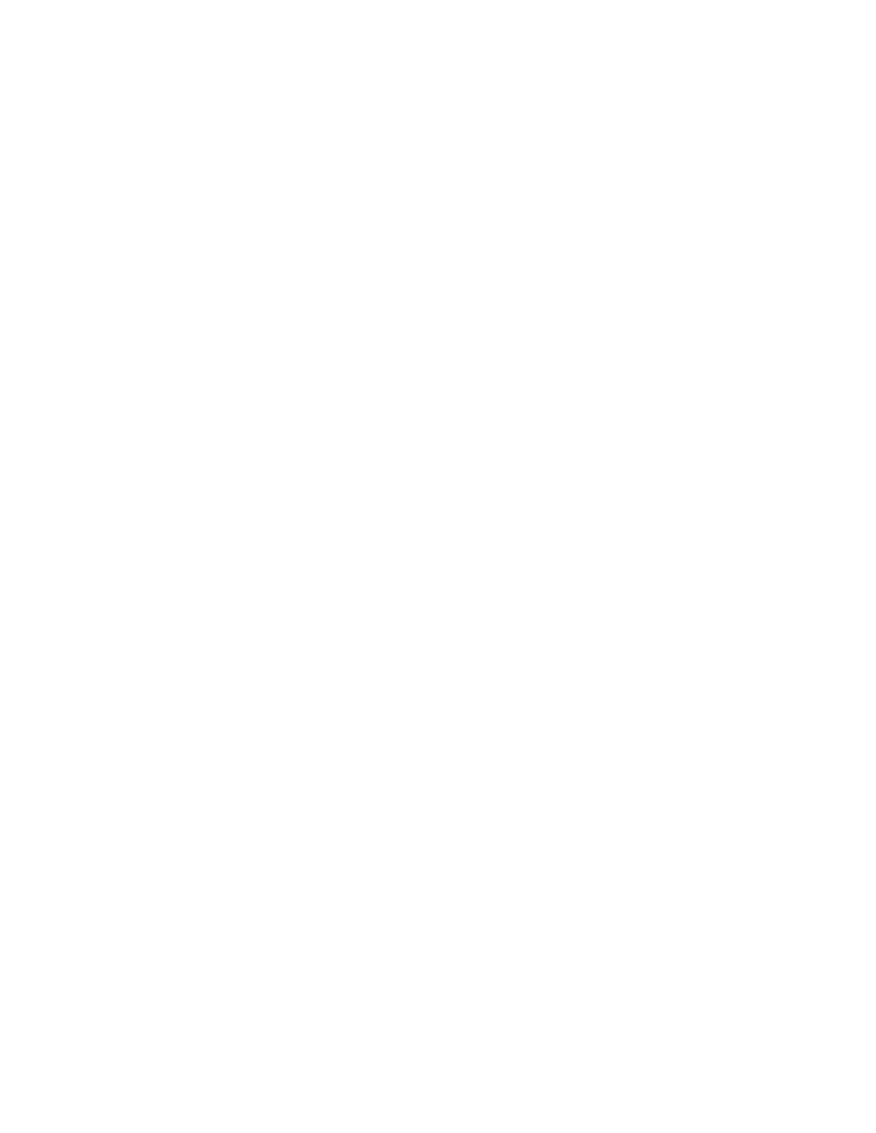FIGS. 2A-2D illustrate various example graphical visualizations. A graphical visualization 202 of FIG. 2A includes pixels representing data points in an input data set that is to be the subject of visual analysis according to some implementations. The graphical visualization 202 includes a horizontal axis representing dimension  $X$  (e.g. time or some other dimension), and a vertical axis representing dimension Y (e.g. port number or some other dimension). The graphical visualization 202 includes pixels assigned various colors depending upon values of another dimension  $Z$  (e.g. IP address or some other dimension) of the data points represented by the respective pixels. A color scale 204 includes various colors that are mapped to respective different values of the dimension Z.

A graphical visualization 206 in FIG. 2B includes pixels representing data points of a group 208 that has been selected by a user as being interesting. The selection may have been made by the user using a cursor or other control element in the graphical visualization 202 of FIG. 2A. This  $_{20}$ is an example of an interactive user selection that can be made in a graphical visualization that includes a pattern of pixels representing respective events. This selected group 208 corresponds to a profile of events against which further cohorts of events are to be identified as discussed above. 25

FIG. 2C illustrates a graphical visualization 210 that has identified cohorts of events that are similar to the profile of events (corresponding to the selected group 208 of FIG. 2B), without using the automated weighting and multi-level ranking according to some implementations of the present 30 disclosure. Examples of identified cohorts in the graphical visualization 210 include cohorts 214, 216, 218, 220, and 222 (among other cohorts not labeled in FIG. 2C). Each respective cohort of the cohorts 214, 216, 218, 220, and 222 includes a group of pixels corresponding to the events of the 35 respective cohort. The identified cohorts of events include events represented by data points in the input data set represented in the graphical visualization 202 of FIG. 2A.

Because automated weighing and multi-level ranking was not used in producing the graphical visualization 210 of FIG. 40 2C, several diagonal lines 224, 226, and 228 are visible in the graphical visualization 210. Each diagonal hue 224, 226 or 228 represents intermixed data. For example, a user may wish to identify cohorts of events that present a port scan on a particular port number. The intermixed data presented by 45 the diagonal lines 224, 226, and 228 can include events representing scans of other port numbers.

FIG. 2D shows graphical visualization 230 produced by applying a cohort identifying technique that applies the automated weighting and multi-level ranking according to 50 some implementations. In the graphical visualization 230, the cohorts 212, 214, 216, 220, and 222 (among other cohorts) have been identified, but without the diagonal lines 224, 226, and 228 representing intermixed data.

FIGS. 2A-2D illustrate a first use case in which a profile 55 of events are selected from the input data set represented by FIG. 2A. In another use case, in further examples, the profile of events does not have to be part of the input data set including events from which cohorts of events are to be identified that represent the same issue as a profile of events. 60

In some examples, a profile of events represents a pattern having a low probability distribution, in which at least one dimension of the profile of events has just one or a few expected outcomes. By using the automated weighting according to some implementations, the dimension(s) with 65 low probability distribution is (are) weighted higher, and when combined with multi-ranking according to some

implementations, ranked cohorts can be grouped together based on the distribution without intermixing data.

FIG. 3 is a flow diagram of an example process of determining weights (as performed at 102 in FIG. 1, for example) for each dimension of multiple dimensions of data points corresponding to a profile of events.

For each dimension  $xi$  ( $j=1$  to M) of the M dimensions of the profile of events, the weight of the dimension xj is computed (at  $302$ ) based on entropy as follows: weight(xj)  $=1$ -entropy(xj), where entropy(xj) represents the entropy computed for dimension xj.

In some examples, an entropy value for a given dimension can be computed according to Eq. 1 below:

$$
\text{entropy}(C) = \frac{\sum_{i} p(c_i) \cdot \log(p(c_i))}{\sum_{i} c_i}.
$$
 (Eq. 1)

In Eq. 1, the entropy value is represented as entropy  $(C)$ , where C is a frequency distribution,  $c_i$  is the frequency of the i-th value of a given dimension, and  $p(c_i)$  represents is the probability of  $c_i$ . Stated differently,  $p(c_i)$  represents the relative frequency of  $c_i$ , where  $c_i$  is a specific value out of all values in C. As a specific example, assume there are 1,000 values for a given dimension, and let  $c_{20}$  of a specific value (e.g. "100.1.150.2") be 30 (i.e. the value "100.1.150.2" occurs 30 times for the given dimension). Then, in this example,  $p(c_{20})=30/1,000$ .

Moreover,  $\Sigma$ ,  $p(c_i)$  represents a sum over all  $p(c_i)$  values of a given dimension in the events of the selected group, and  $\Sigma_i$ , c<sub>i</sub> represents a sum over all c<sub>i</sub> values of a given dimension in the events of the profile of events.

For dimensions that have the same weight, correlation analysis is performed (at 304) with the values of the dimensions. If there is a correlation between two or more dimensions, the weights of all dimensions except one are set to zero. Two or more dimensions are correlated if there is a specified degree of relationship between the dimensions. For example, dimension A and dimension B are correlated if an increase in value of dimension A tends to occur with an increase in value of dimension B, or if a decrease in value of dimension A tends to occur with a decrease in value of dimension B; this type of correlation is considered a positive correlation. Dimension A and dimension B are negatively correlated if an increase in value of dimension A tends to occur with a decrease in value of dimension B, or vice versa.

A correlation coefficient can measure a degree (or strength) of the relationship between two dimensions. For example, a Pearson Correlation Coefficient measures the strength of a linear relationship between two dimensions. When two dimensions are exactly (linearly) related, the correlation coefficient is either  $+1$  or  $-1$ . Other values of the Pearson Correlation Coefficient can indicate lesser strengths of correlation.

The correlation analysis (at 304) identifies dimensions that are "highly" correlated, i.e. have a correlation that exceeds a specified threshold (e.g. the Pearson Correlation Coefficient>threshold). Such highly correlated dimensions do not have to be all considered. Note that the analysis of each dimension costs computation time and resource. If the number of dimensions is reduced, the overall process can be speeded up and made more efficient. By setting the weights of all highly correlated dimensions except one to zero, just the one dimension is later analyzed, rather than all the highly correlated dimensions. More generally, the correlation analysis can include determining correlation between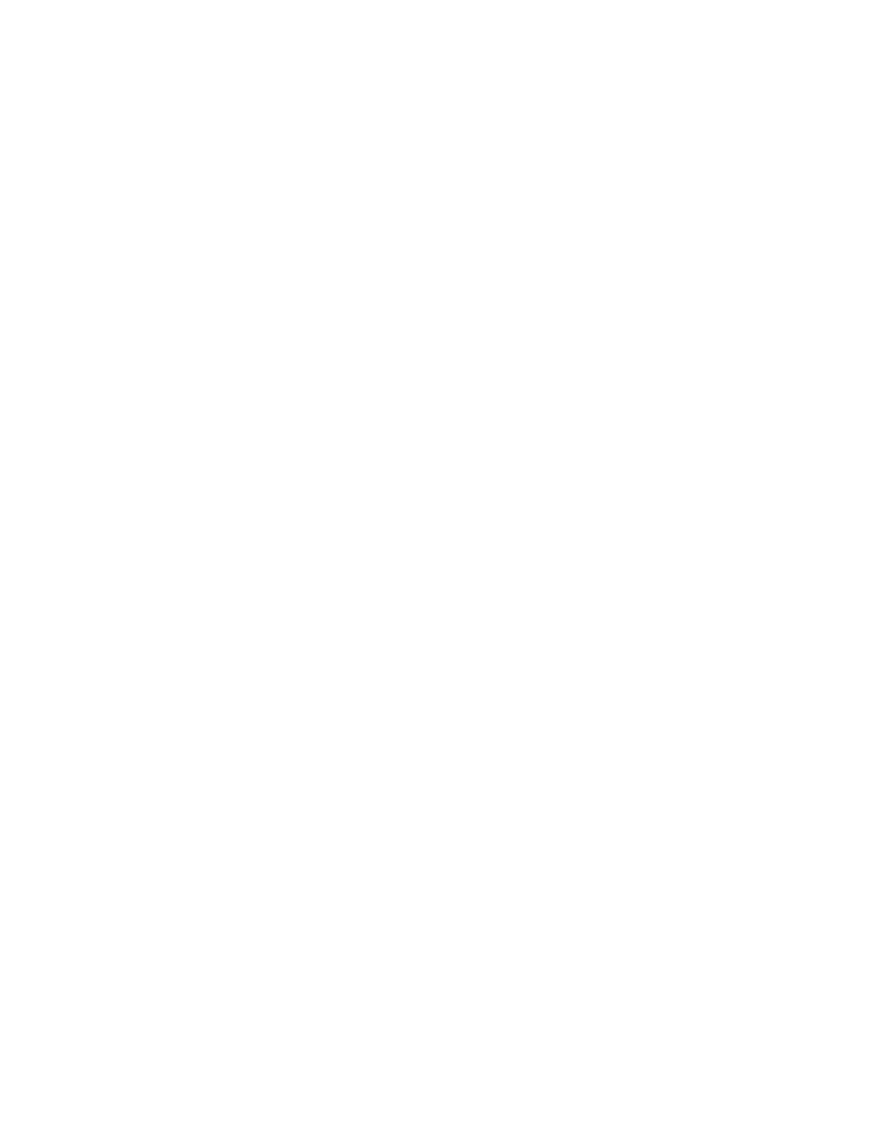$10$ 

45

dimensions and adjusting weights of the correlated dimensions, where the adjusting includes changing a value of a weight assigned to at least one of the correlated dimensions.

The weights produced by the process of FIG. 3 for respective dimensions can be provided in a weight vector of 5 the weights. FIG. 4 is a flow diagram of an example process of computing similarity values (e.g. as performed at 104 in FIG. 1) between further events and the profile of events, using the weights of the weight vector as well as distances between the further events and the profile of events.

The process of FIG. 4 calculates (at 402) distances between the further events and the profile of events. As noted above, the similarity values computed at 104 in FIG. 1 are based on distances between the further events and the profile of events, and also based on the representation of 15 behavior (e.g. as represented by the weight vector) of the profile of events.

The distance for dimension i between each data point  $Px_i$ representing a further event and each data point Py, in the profile of events is calculated at 402. The distance can be 20 computed in one of several different ways based on the type of dimension. If the dimension is a categorical dimension (a dimension that does not have numerical values, but rather, has values in different categories), then the distance is a categorical distance measure  $d(x, y)$ , where  $d(x, y)=0$  if x 25 does not equal y, and  $d(x, y)=1$  if x equals y. Such computation of the categorical distance measure is derived using a binary operation, where the distance measure is 0 if the dimensions are not equal, and 1 if the dimensions are equal. For other types of dimensions, other techniques for com- 30 puting the distance can be used, such as based on a difference between values of x and y.

The average distance,  $dm(i)(Px_i, Py_i)$ , per dimension is then calculated (at 404) across each data point representing a further event and the data points representing the profile of 35 events. A weighted distance, DISTANCE\_WEIGHTED(Px, Py), for a data point Px representing a further event is then calculated (at 400) according to Eq. 2.

$$
\begin{array}{ll}\n\text{DISTANCE\_WEIGHTED}(Px, Py) = \sum_{i} w_i \cdot dm(i) \\
(Px_i, Py_i). & \text{(Eq. 2)}\n\end{array}
$$

In Eq. 2,  $w_i$ , is the weight for dimension as computed according to FIG. 2, for example. There is one weighted distance calculated for each data point representing a further event.

weighted In some examples, the distance. DISTANCE\_WEIGHTED(Px, Py), can be normalized to a value between 0 and 1 by dividing the weighted distance by the sum of all weights  $w_i$ . In some examples, the normalized weighted distance can be used as the similarity value com- 50 puted at 104 in FIG. 1. Alternatively, the non-normalized weighted distance can be used as the similarity value computed at 104.

The further events are sorted (at  $408$ ) by the similarity values (the normalized or non-normalized weighted dis- 55 entropy distance is computed for each group of the groups tances). The sorted data points are thus arranged in order of their similarity values.

Using the sorted further events, groups of the further events can be identified (at 410) based on the similarity values. Effectively, the further events are divided into mul- 60 tiple groups based on the similarity values. A threshold t (which can be user-specified or specified by another entity) can be provided for identifying the groups. The threshold defines the maximum distance between further events within a particular group. In other words, the difference in similar-65 ity values between any two events within the particular group does not exceed t. Events that have similarity value

8

differences greater than t are placed in separate groups. These groups are the "initial" groups of further events that are provided as inputs to multi-level ranking as discussed below.

In accordance with some implementations of the present disclosure, multi-level ranking of the groups can be performed, for the purpose of generating cohorts of the further events (e.g. task 106 in FIG. 1).

Multi-level ranking, which includes multiple levels of ranking, is discussed further below. The example pseudocode (lines 1-13) can be used for performing level 1 ranking, which is behavior/entropy based ranking.

|                     | LEVEL 1 RANKING: behavior/entropy based ranking                                  |  |  |  |  |
|---------------------|----------------------------------------------------------------------------------|--|--|--|--|
| 1                   | INPUT: profile of events with entropy values for analyzed dimen-<br>sions,       |  |  |  |  |
| 2<br>$\overline{3}$ | groups of further events with entropy values for analyzed dimensions             |  |  |  |  |
| 4                   | for each current group of the groups of further events                           |  |  |  |  |
| 5                   | $group\_entropy\_distance = 0$                                                   |  |  |  |  |
| 6                   | for each dimension in analyzed dimensions                                        |  |  |  |  |
| 7                   | $dimension$ entropy distance = entropy of that dimension<br>in profile of events |  |  |  |  |
| 8                   | MINUS entropy of that dimension in current group                                 |  |  |  |  |
| 9                   | dimension entropy distance = absolute value of<br>diminsion entropy distance     |  |  |  |  |
| 10                  | $group_{\text{entropy\_distance}} = group_{\text{entropy\_distance}} +$          |  |  |  |  |
| 11                  | dimension entropy distance                                                       |  |  |  |  |
| 12                  | save group_entropy_distance into group                                           |  |  |  |  |
| 13                  | sort groups by their subgroup entropy distances (from smallest<br>to largest)    |  |  |  |  |

As indicated at lines 1 and 2 of the pseudocode, the inputs to the pseudocode include the profile of events (selected group of events as selected by the user, for example) and the groups of further events (more specifically the initial groups of further events produced by the FIG. 4 process, for example. In addition, entropy values for each dimension of the profile of events and the groups of further events are provided (such entropy values can be computed according to  $40$  Eq. 1, for example).

Lines 4-12 of the pseudocode calculates the entropy distance of each group of further events to the profile of events based on entropy values for the various dimensions of the group of further events and the profile of events. As specified at lines 7-9 of the pseudocode, a dimension entropy distance (dimension\_entropy\_distance) for each respective dimension is equal to the absolute value of the difference between the entropy value of the respective dimension in the profile of events and the entropy value of the respective dimension in the group of further events. As specified at line 10 of the pseudocode, the dimension entropy distance for each respective dimension is summed with a group entropy distance (group\_entropy\_distance) for the current group.

As a result of lines 7-10 of the pseudocode, a group of further events.

Line 13 of the pseudocode sorts the groups of further events by their group entropy distance values. The output of the level 1 ranking is the sorted groups of further events. In other examples instead of performing the level 1 ranking based on differences in entropy values between the groups of further events and the profile of events, the level 1 ranking can be based on differences of other types of diversity values between the groups of further events and the profile of events.

The following provides an example pseudocode (lines 14-17) for performing level 2 ranking, which includes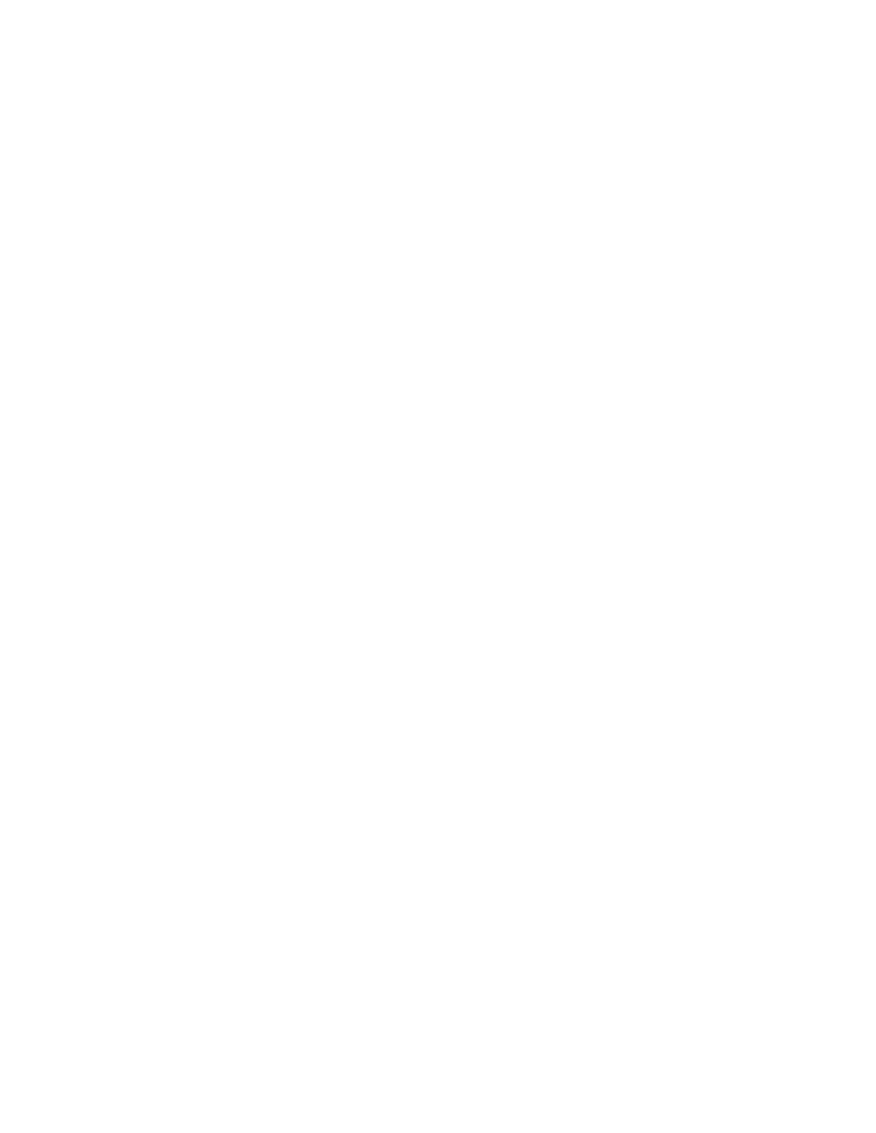$\overline{5}$ 

10

50

55.

60

re-ranking of the top K groups, where  $K \le R$  (R representing the number of the initial groups of further events).

LEVEL 2: re-ranking of top K groups

- $14$ **INPUT: K**
- for each current group of the top K groups of further events 15
- average over events the distance\_to\_profile (where 16
- distance\_to\_profile is the similarity value computed at 406 in Fig. 4) 17 sort groups by average distance\_to\_profile

The input (line 14) to the pseudocode for performing level 2 ranking is K, which causes selection of the top K groups of further events (as sorted by the level 1 ranking). At lines 15-16 of the pseudocode, the distance to profile values of the further events of the current group of further events are averaged (or otherwise aggregated), where the distance to profile values are the similarity values computed at in FIG. 4. An average distance\_to\_profile value is computed for each group of the top K groups of further 20 events. The top K groups of further events are then sorted by the average distance\_to\_profile values (line 17 of the pseudocode).

Once the top K groups of further events have been re-ranked by the level 2 ranking, merging of the top K groups is performed, which is referred to as level 3 ranking. <sup>25</sup> An example pseudocode to perform the level 3 ranking is provided below.

|    | LEVEL 3: merging based on similar distance to profile values                            |
|----|-----------------------------------------------------------------------------------------|
| 18 | INPUT: second merge threshold                                                           |
| 19 | for each current group of the sorted K groups of further events                         |
| 20 | merge with another group if the average distance to profile<br>of both groups is within |
| 21 | the second merge threshold                                                              |

Level 3 ranking merges two groups of the sorted K groups based on similarity of the average distance\_to\_profile values of the two groups. The input (line  $18$ ) to the pseudocode is a "second merge threshold." This "second merge threshold" 40 can be different (or the same as) the threshold used at task 410 of FIG. 4 for identifying the initial groups of further events. As indicated at lines 19-20 of the pseudocode, if the average distance\_to\_profile values of two groups differs by less than or equal to the second merge threshold then the two 45 groups are merged into one group.

After level 3 ranking is performed to merge groups, level 4 ranking is performed of the merged groups of further events. An example pseudocode (lines 22-25) for performing level 4 ranking is provided below.

Level 4 ranking includes performing dimension-based splitting.

|    | LEVEL 4: dimension based split                                                        |
|----|---------------------------------------------------------------------------------------|
| 22 | <b>INPUT</b> : constraint dimension                                                   |
| 23 | for each event in all the merged groups of further events                             |
| 24 | check value of constraint dimension and put the event in<br>a corresponding new group |
| 25 | (one group for each constraint dimension value possible)                              |

The input (line 22) to the pseudocode is a constraint dimension, which can be set by a user or another entity. As an example, a user knows that the resulting cohorts of further events of interest should contain only a single value 65 for the constraint dimension, e.g. all the events in the cohort of further events should share the same value of the con-

straint dimension. The pseudocode at lines 23-25 ensures that existing groups (the merged groups produced by the level 4 ranking) are split into more groups, if the constraint  $dimension(s)$  in a particular group of further events contains more than one value.

Next, level 5 ranking can performed on the resulting groups of further events produced by the level 4 ranking. The ranking can be similar the ranking performed in the level 2 ranking. The output of the level 5 ranking can be the output cohorts of further events, as generated at task 106 in FIG. 1.

Although 5 levels of ranking are part of the example multi-level ranking discussed above, it is noted that in other examples, the multi-level ranking can include less than or more than 5 levels of ranking of groups of further events.

FIG. 5 shows an example graphical visualization including cohorts produced by the multi-level ranking according to some examples. The graphical visualization of FIG. 5 includes a profile of events (500) and four other cohorts 502, 504, 506, and 508, with cohort 502 being the most similar cohort to the profile of events, and cohort 508 being the least similar cohort to the profile of events.

FIG. 5 also shows that graphical elements (e.g. dots or circles) representing the events in the different cohorts are assigned different visual indicators (in the form of different fill patterns or colors, for example). The different visual indicators are represented in a scale 510, with cohorts that are more similar to the profile of events 500 having a fill pattern, (or color) to the left of the scale 510, and cohorts that 30 are less similar to the profile of events 500 having a fill pattern (or color) to the right of the scale 510. The dots representing the events within a particular cohort are all assigned the same visual indicator (same fill pattern or same color). This allows a user to more easily detect which cohort 35 an event is part of, and whether the event is similar or dissimilar to the profile of events 500.

FIG. 6 is a block diagram of an example computer system 600 according to some implementations. The computer system 600 can include one computer or a distributed arrangement of multiple computers (where different tasks of techniques according to some implementations can be executed in different computers of the distributed arrangement). The computer system 600 includes a processor (or multiple processors) 602. A processor can include a microprocessor, a microcontroller, a physical processor module or subsystem, a programmable integrated circuit, a programmable gate array, or a physical control or computing device.

The processor(s)  $602$  can be coupled to a non-transitory machine-readable or computer-readable storage medium (or storage media) 604, which can store various machinereadable instructions. The machine-readable instructions include weight determining instructions 606 to determine weights of respective dimensions of a profile of events (e.g. task 102 in FIG. 1). The machine-readable instructions include similarity computing instructions 609 to compute similarity values indicating similarities between further events and a profile of events (e.g. task 104 in FIG. 1 and task 406 in FIG. 4). The machine-readable instructions include initial group identifying instructions 610 to identify initial groups of the further events according to the similarity values (e.g. task 410 in FIG. 4) The machine-readable instructions include multi-level ranking instructions 612 to perform multi-level ranking (e.g. task 106 in FIG. 1 and the five levels of ranking discussed above). The machine-readable instructions include cohort determining instructions 614 to determine cohorts of the further events (e.g. task 106 in FIG. 1). The machine-readable instructions include cohort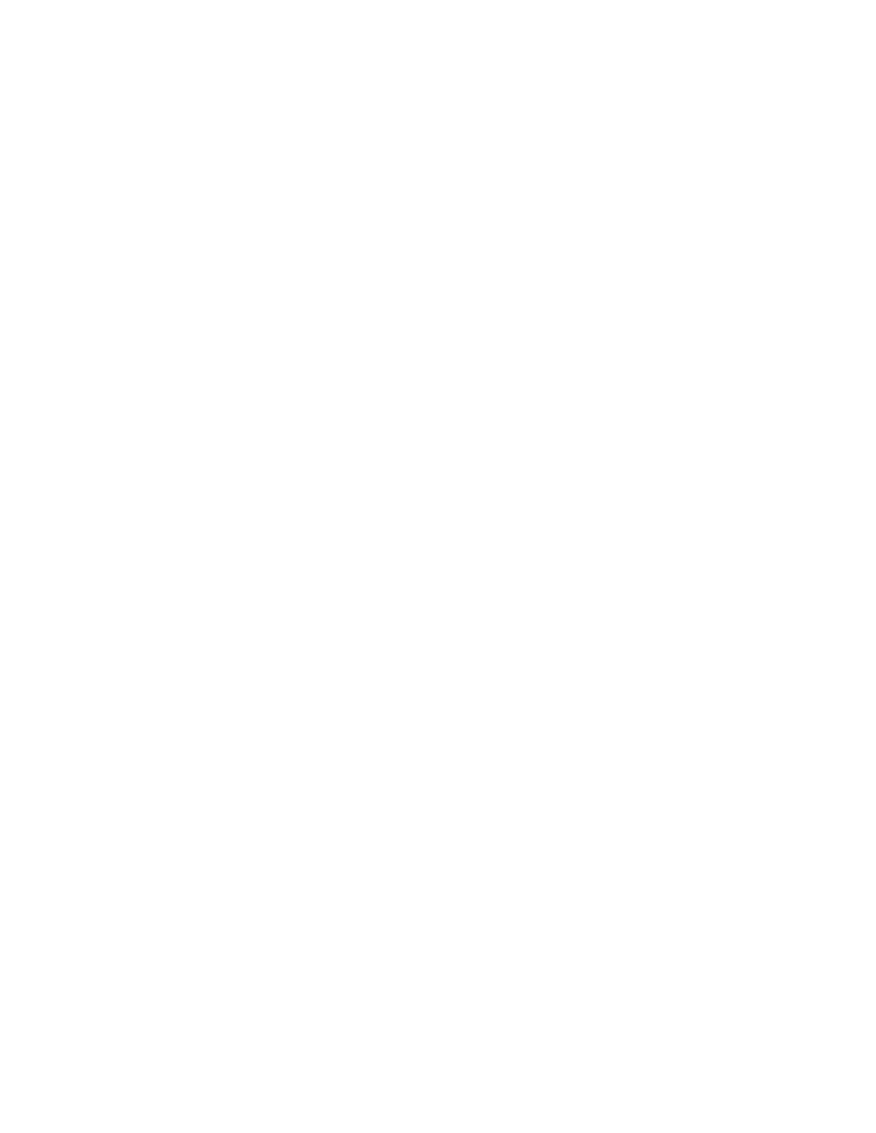visualizing instructions 610 to visualize the cohorts in a graphical visualization (e.g. task 108 in FIG. 1).

The storage medium (or storage media) 604 can include one or multiple different forms of memory including semiconductor memory devices such as dynamic or static ran-5 dom access memories (DRAMs or SRAMs) erasable and programmable read-only memories (EPROMs), electrically erasable and programmable read-only memories (EE-PROMs) and flash memories; magnetic disks such as fixed, floppy and removable disks; other magnetic media including 10 tape; optical media such as compact disks (CDs) or digital video disks (DVDs), or other types of storage devices. Note that the instructions discussed above can be provided on one computer-readable or machine-readable storage medium, or alternatively, can be provided on multiple computer-read-15 able or machine-readable storage media distributed in a large system having possibly plural nodes. Such computerreadable or machine-readable storage medium or media is (are) considered to be part of an article (or article of manufacture). An article or article of manufacture can refer 20 to any manufactured single component or multiple components. The storage medium or media can be located either in the machine running the machine-readable instructions, or located at a remote site from which machine-readable instructions can be downloaded over a network for execu- 25 of each respective dimension of the plurality of dimensions tion.

In the foregoing description, numerous details are set forth to provide an understanding of the subject disclosed herein. However, implementations may be practiced without some of these details. Other implementations may include 30 modifications and variations from the details discussed above. It is intended that the appended claims cover such modifications and variations.

What is claimed is:

1. A method comprising:

- performing, by a system comprising a processor, automated weighting comprising transforming a behavior of each respective dimension of a plurality of dimensions of a selected group of events to a respective weight, the respective weight determined based on a 40 distribution of values of the respective dimension, wherein the weight determined for a first of the plurality of dimensions is greater than the weight determined for a second of the plurality of dimensions;
- computing, by the system, similarity values indicating 45 similarities between further events and the selected group of events the similarity values based on a combination of the weights and distances between the further events and the selected group of events;
- generating, by the system, cohorts of the further events by 50 performing multi-level ranking that comprises ranking groups of the further events based on the similarity values, and applying merging to the groups to produce merged groups; and
- visualizing, by the system, the cohorts in a graphical 55 visualization.

2. The method of claim 1, wherein the generating of the cohorts further comprises:

re-ranking the merged groups to form the cohorts.

3. The method of claim 2, wherein the generating of the 60 cohorts further comprises:

- splitting at least a first merged group of the merged groups based on the first merged group including more than one value of a constraint dimension, wherein the splitting produces split merged groups, 65
- wherein the re-ranking is applied to the split merged groups.

4. The method of claim 1, wherein the generating of the cohorts further comprises:

selecting a subset of initial groups of the further events based on distance values between the initial groups of the further events and the selected group of events, the distance values based on differences between diversity values of dimensions of the initial groups of the further events and the selected group of events, wherein the ranking is applied to the groups of the further events in the subset.

5. The method of claim 1, wherein the merging comprises merging a first group of the further events and a second group of the further events in response to a first distance of the first group of the further events to the selected group of events being within a threshold of a second distance of the second group of the further events to the selected group of events.

6. The method of claim 1, further comprising:

- sorting the further events according to the similarity values; and
- identifying the groups of the further events using the sorted further events.

7. The method of claim 1, wherein the respective weight is derived from a diversity value of the respective dimension.

8. The method of claim 1, wherein the respective weight of each respective dimension of the plurality of dimensions is derived from an entropy value of the respective dimension.

9. The method of claim 1, further comprising receiving an interactive user selection in a visualization of pixels representing events, the interactive user selection providing the  $35<sup>°</sup>$ selected group of events.

10. The method of claim 1, further comprising performing correlation analysis to determine a correlation between dimensions and to adjust the weights of correlated dimensions.

- 11. A system comprising:
- at least one processor; and
- a memory to store instructions executable on the at least one processor to:
	- determine weights of respective dimensions of a profile of events, the weight determined for each respective dimension based on a distribution of values of the respective dimension, wherein the weight determined for a first of the dimensions is greater than the weight determined for a second of the dimensions;
	- compute similarity values indicating similarities between further events and the profile of events, the similarity values based on a combination of the weights and distances between the further events and the profile of events;
	- identify initial groups of the further events according to the similarity values;
	- perform multi-level ranking comprising:
		- ranking the initial groups of the further events based on diversity values of the initial groups of the further events:
		- selecting a subset of the ranked initial groups of the further events, and re-ranking the groups of the further events in the selected subset based on the similarity values, and
		- merging the re-ranked groups of the further events to produce merged groups of the further events;